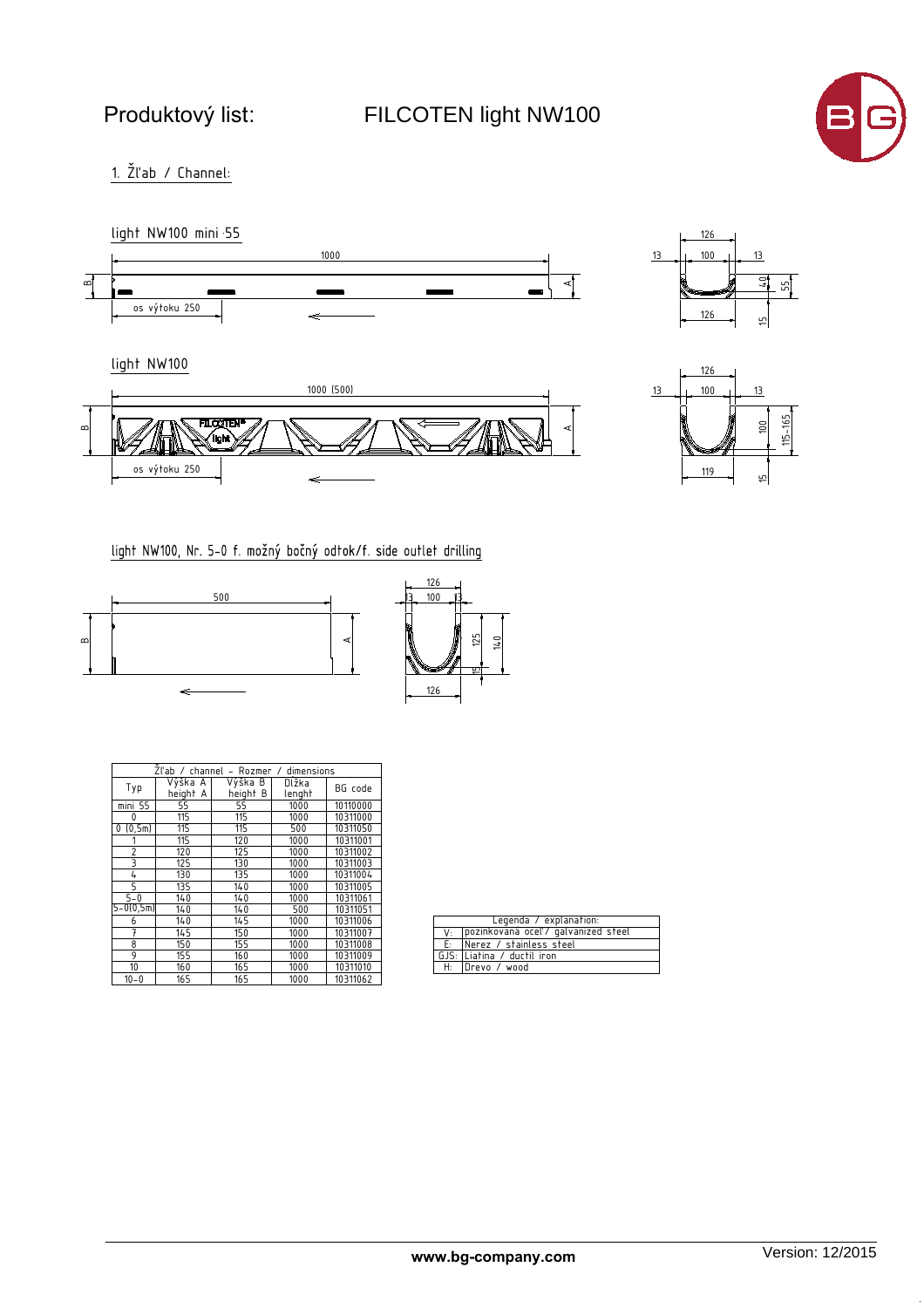FILCOTEN light NW100



 $1.$   $\check{Z}$ l'ab / Channel:



light NW100







light NW100, Nr. 5-0 f. možný bočný odtok/f. side outlet drilling





| Zl'ab / channel – Rozmer / dimensions |                     |                     |                 |          |  |  |  |  |  |  |  |
|---------------------------------------|---------------------|---------------------|-----------------|----------|--|--|--|--|--|--|--|
| Typ                                   | Výška A<br>height A | Výška B<br>height B | Dĺžka<br>lenght | BG code  |  |  |  |  |  |  |  |
| mini 55                               | 55                  | 55                  | 1000            | 10110000 |  |  |  |  |  |  |  |
| 0                                     | 115                 | 115                 | 1000            | 10311000 |  |  |  |  |  |  |  |
| (0, 5m)<br>0                          | 115                 | 115                 | 500             | 10311050 |  |  |  |  |  |  |  |
|                                       | 115                 | 120                 | 1000            | 10311001 |  |  |  |  |  |  |  |
| $\overline{c}$                        | 120                 | 125                 | 1000            | 10311002 |  |  |  |  |  |  |  |
| 3                                     | 125                 | 130                 | 1000            | 10311003 |  |  |  |  |  |  |  |
| 4                                     | 130                 | 135                 | 1000            | 10311004 |  |  |  |  |  |  |  |
| 5                                     | 135                 | 140                 | 1000            | 10311005 |  |  |  |  |  |  |  |
| $5 - 0$                               | 140                 | 140                 | 1000            | 10311061 |  |  |  |  |  |  |  |
| $5 - 0(0, 5m)$                        | 140                 | 140                 | 500             | 10311051 |  |  |  |  |  |  |  |
| 6                                     | 140                 | 145                 | 1000            | 10311006 |  |  |  |  |  |  |  |
| 7                                     | 145                 | 150                 | 1000            | 10311007 |  |  |  |  |  |  |  |
| 8                                     | 150                 | 155                 | 1000            | 10311008 |  |  |  |  |  |  |  |
| 9                                     | 155                 | 160                 | 1000            | 10311009 |  |  |  |  |  |  |  |
| 10                                    | 160                 | 165                 | 1000            | 10311010 |  |  |  |  |  |  |  |
| $10 - 0$                              | 165                 | 165                 | 1000            | 10311062 |  |  |  |  |  |  |  |

| Legenda / explanation: |                                        |  |  |  |  |  |  |  |
|------------------------|----------------------------------------|--|--|--|--|--|--|--|
|                        | V: pozinkovaná oceľ / galvanized steel |  |  |  |  |  |  |  |
|                        | E: Nerez / stainless steel             |  |  |  |  |  |  |  |
|                        | GJS: Liatina / ductil iron             |  |  |  |  |  |  |  |
|                        | H: Drevo / wood                        |  |  |  |  |  |  |  |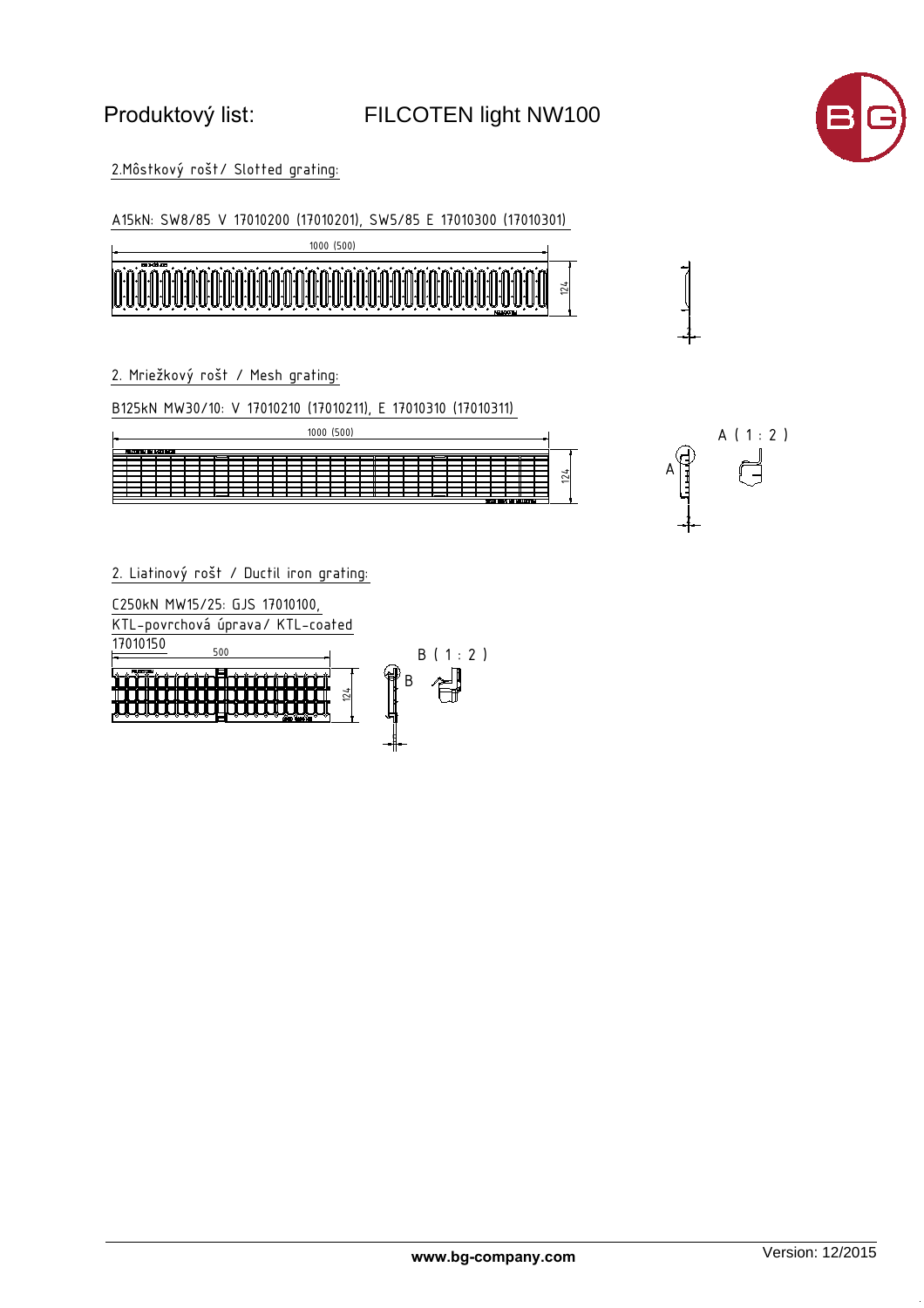

2

 $A \mid \uparrow$ 

A ( 1 : 2 )

2

2. Môstkový rošt/ Slotted grating:

A15kN: SW8/85 V 17010200 (17010201), SW5/85 E 17010300 (17010301)



2. Mriežkový rošt / Mesh grating:

B125kN MW30/10: V 17010210 (17010211), E 17010310 (17010311)

| 1000 (500)             |  |  |                                          |  |  |  |  |  |  |  |  |  |  |  |  |  |  |  |  |  |  |  |                 |  |
|------------------------|--|--|------------------------------------------|--|--|--|--|--|--|--|--|--|--|--|--|--|--|--|--|--|--|--|-----------------|--|
| FILCOTEN EN 1493 B125  |  |  |                                          |  |  |  |  |  |  |  |  |  |  |  |  |  |  |  |  |  |  |  |                 |  |
|                        |  |  |                                          |  |  |  |  |  |  |  |  |  |  |  |  |  |  |  |  |  |  |  |                 |  |
|                        |  |  |                                          |  |  |  |  |  |  |  |  |  |  |  |  |  |  |  |  |  |  |  |                 |  |
|                        |  |  |                                          |  |  |  |  |  |  |  |  |  |  |  |  |  |  |  |  |  |  |  | $\frac{124}{5}$ |  |
|                        |  |  |                                          |  |  |  |  |  |  |  |  |  |  |  |  |  |  |  |  |  |  |  |                 |  |
|                        |  |  |                                          |  |  |  |  |  |  |  |  |  |  |  |  |  |  |  |  |  |  |  |                 |  |
|                        |  |  |                                          |  |  |  |  |  |  |  |  |  |  |  |  |  |  |  |  |  |  |  |                 |  |
| SC19 COVI NEI NELCOTLA |  |  |                                          |  |  |  |  |  |  |  |  |  |  |  |  |  |  |  |  |  |  |  |                 |  |
|                        |  |  |                                          |  |  |  |  |  |  |  |  |  |  |  |  |  |  |  |  |  |  |  |                 |  |
|                        |  |  |                                          |  |  |  |  |  |  |  |  |  |  |  |  |  |  |  |  |  |  |  |                 |  |
|                        |  |  |                                          |  |  |  |  |  |  |  |  |  |  |  |  |  |  |  |  |  |  |  |                 |  |
|                        |  |  |                                          |  |  |  |  |  |  |  |  |  |  |  |  |  |  |  |  |  |  |  |                 |  |
|                        |  |  | 2. Liatinový rošt / Ductil iron grating: |  |  |  |  |  |  |  |  |  |  |  |  |  |  |  |  |  |  |  |                 |  |
|                        |  |  |                                          |  |  |  |  |  |  |  |  |  |  |  |  |  |  |  |  |  |  |  |                 |  |

C250kN MW15/25: GJS 17010100,

KTL-povrchová úprava/ KTL-coated 17010150

 $500$ 



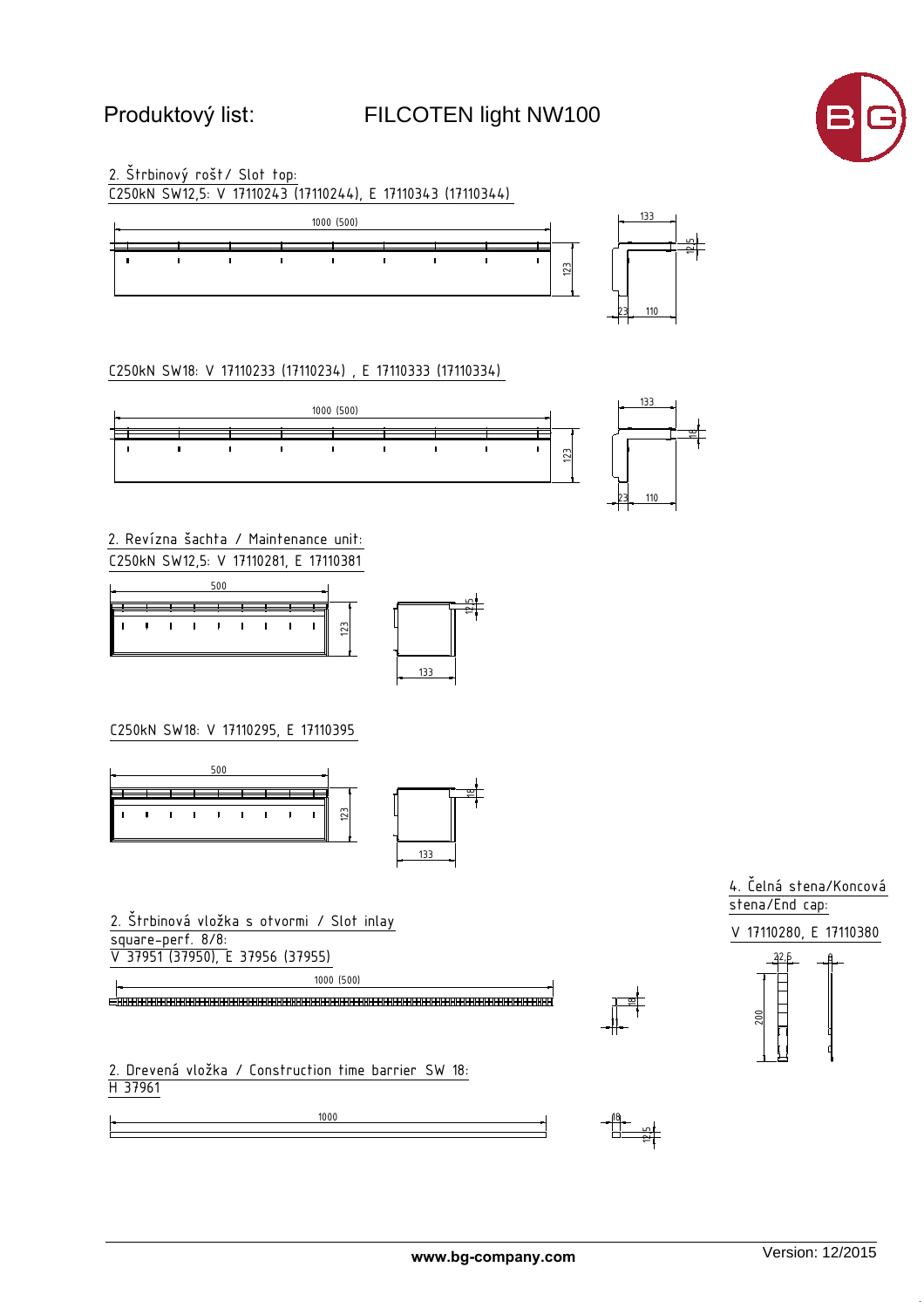#### FILCOTEN light NW100



2. Štrbinový rošt/ Slot top: C250kN SW12,5: V 17110243 (17110244), E 17110343 (17110344)



C250kN SW18: V 17110233 (17110234), E 17110333 (17110334)



2. Revízna šachta / Maintenance unit: C250kN SW12,5: V 17110281, E 17110381





C250kN SW18: V 17110295, E 17110395



2. Štrbinová vložka s otvormi / Slot inlay square-perf. 8/8: V 37951 (37950), E 37956 (37955)

1000 (500)

1000

2. Drevená vložka / Construction time barrier SW 18:<br><u>H 37961</u>



4. Čelná stena/Koncová stena/End cap:

V 17110280, E 17110380



<u>"T al</u>

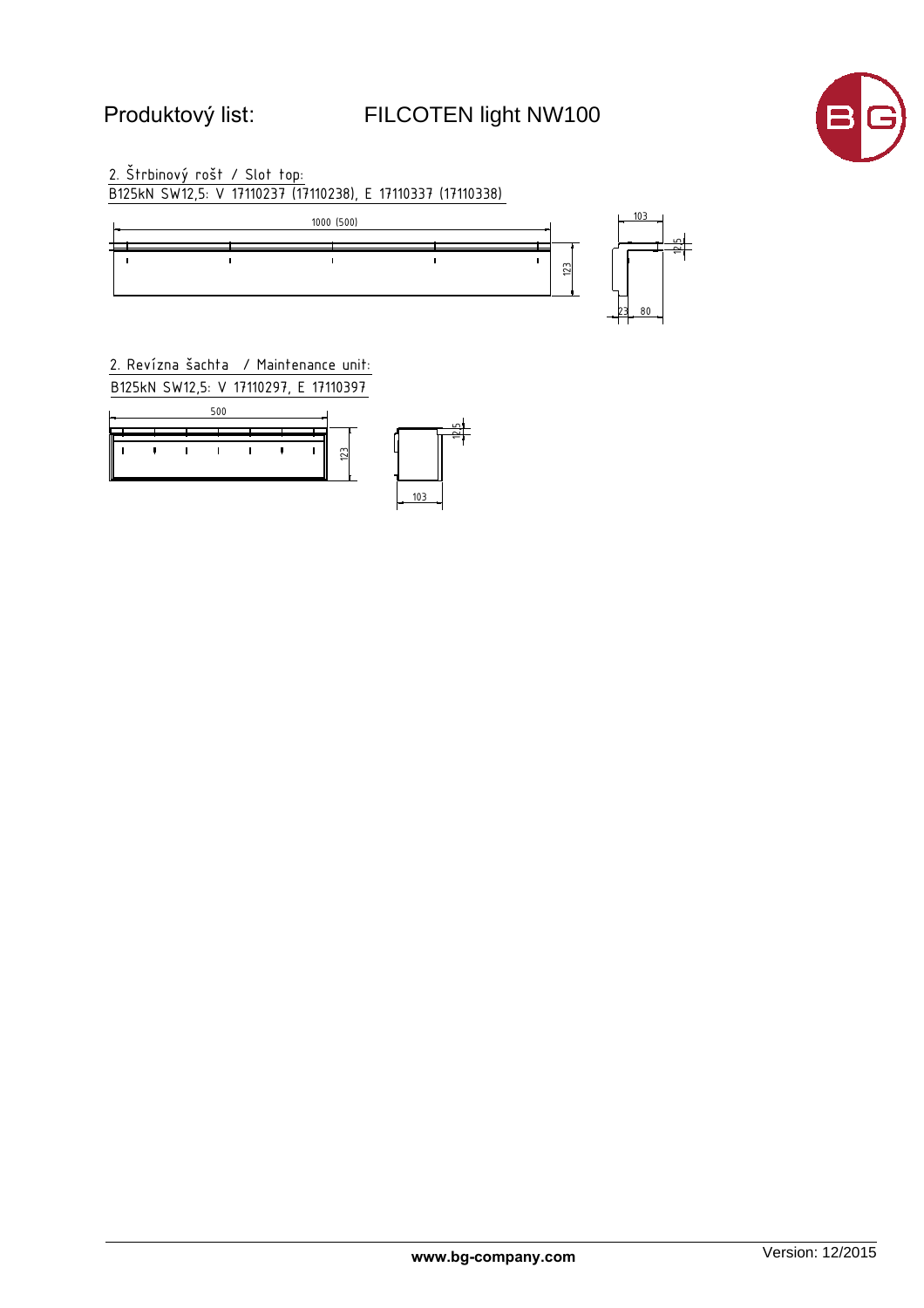# FILCOTEN light NW100



2. Štrbinový rošt / Slot top:<br>B125kN SW12,5: V 17110237 (17110238), E 17110337 (17110338)



2. Revízna šachta / Maintenance unit: B125kN SW12,5: V 17110297, E 17110397